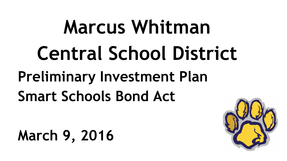## **Marcus Whitman Central School District Preliminary Investment Plan Smart Schools Bond Act**

**March 9, 2016**

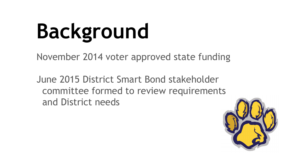## **Background**

November 2014 voter approved state funding

June 2015 District Smart Bond stakeholder committee formed to review requirements and District needs

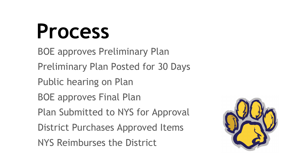#### **Process**

BOE approves Preliminary Plan Preliminary Plan Posted for 30 Days Public hearing on Plan BOE approves Final Plan Plan Submitted to NYS for Approval District Purchases Approved Items NYS Reimburses the District

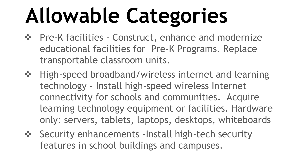# **Allowable Categories**

- ❖ Pre-K facilities Construct, enhance and modernize educational facilities for Pre-K Programs. Replace transportable classroom units.
- ❖ High-speed broadband/wireless internet and learning technology - Install high-speed wireless Internet connectivity for schools and communities. Acquire learning technology equipment or facilities. Hardware only: servers, tablets, laptops, desktops, whiteboards
- ❖ Security enhancements -Install high-tech security features in school buildings and campuses.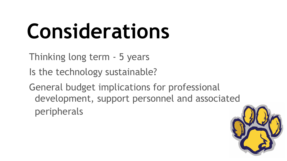## **Considerations**

Thinking long term - 5 years

Is the technology sustainable?

General budget implications for professional development, support personnel and associated peripherals

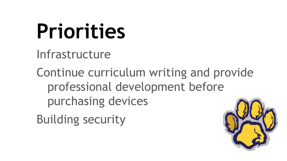#### **Priorities**

Infrastructure

Continue curriculum writing and provide professional development before purchasing devices

Building security

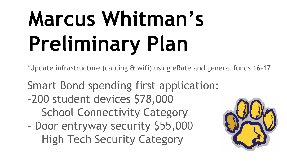# **Marcus Whitman's Preliminary Plan**

\*Update infrastructure (cabling & wifi) using eRate and general funds 16-17

Smart Bond spending first application:

- -200 student devices \$78,000 School Connectivity Category
- Door entryway security \$55,000 High Tech Security Category

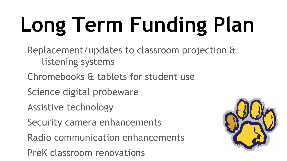# **Long Term Funding Plan**

Replacement/updates to classroom projection & listening systems

- Chromebooks & tablets for student use
- Science digital probeware
- Assistive technology
- Security camera enhancements
- Radio communication enhancements
- PreK classroom renovations